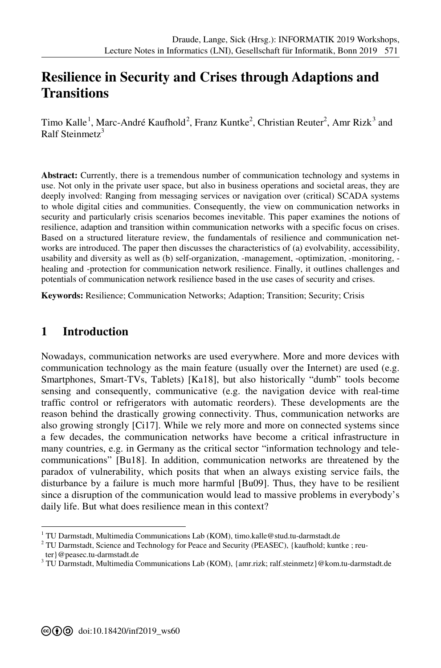# **[R](#page--1-0)esilience in Security and Crises through Adaptions and Transitions**

Timo Kalle<sup>1</sup>, Marc-André Kaufhold<sup>2</sup>, Franz Kuntke<sup>2</sup>, Christian Reuter<sup>2</sup>, Amr Rizk<sup>3</sup> and Ralf Steinmetz $3$ 

**Abstract:** Currently, there is a tremendous number of communication technology and systems in use. Not only in the private user space, but also in business operations and societal areas, they are deeply involved: Ranging from messaging services or navigation over (critical) SCADA systems to whole digital cities and communities. Consequently, the view on communication networks in security and particularly crisis scenarios becomes inevitable. This paper examines the notions of resilience, adaption and transition within communication networks with a specific focus on crises. Based on a structured literature review, the fundamentals of resilience and communication networks are introduced. The paper then discusses the characteristics of (a) evolvability, accessibility, usability and diversity as well as (b) self-organization, -management, -optimization, -monitoring, healing and -protection for communication network resilience. Finally, it outlines challenges and potentials of communication network resilience based in the use cases of security and crises.

**Keywords:** Resilience; Communication Networks; Adaption; Transition; Security; Crisis

### **1 Introduction**

-

Nowadays, communication networks are used everywhere. More and more devices with communication technology as the main feature (usually over the Internet) are used (e.g. Smartphones, Smart-TVs, Tablets) [Ka18], but also historically "dumb" tools become sensing and consequently, communicative (e.g. the navigation device with real-time traffic control or refrigerators with automatic reorders). These developments are the reason behind the drastically growing connectivity. Thus, communication networks are also growing strongly [Ci17]. While we rely more and more on connected systems since a few decades, the communication networks have become a critical infrastructure in many countries, e.g. in Germany as the critical sector "information technology and telecommunications" [Bu18]. In addition, communication networks are threatened by the paradox of vulnerability, which posits that when an always existing service fails, the disturbance by a failure is much more harmful [Bu09]. Thus, they have to be resilient since a disruption of the communication would lead to massive problems in everybody's daily life. But what does resilience mean in this context?

<sup>&</sup>lt;sup>1</sup> TU Darmstadt, Multimedia Communications Lab (KOM), timo.kalle@stud.tu-darmstadt.de

 $2^2$  TU Darmstadt, Science and Technology for Peace and Security (PEASEC), {kaufhold; kuntke ; reuter}@peasec.tu-darmstadt.de

<sup>&</sup>lt;sup>3</sup> TU Darmstadt, Multimedia Communications Lab (KOM), {amr.rizk; ralf.steinmetz}@kom.tu-darmstadt.de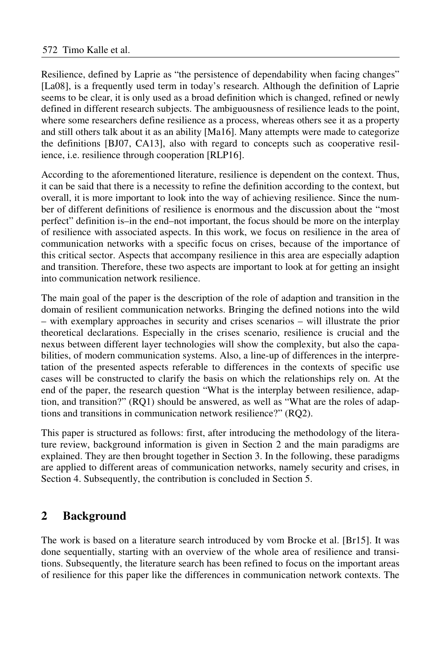Resilience, defined by Laprie as "the persistence of dependability when facing changes" [La08], is a frequently used term in today's research. Although the definition of Laprie seems to be clear, it is only used as a broad definition which is changed, refined or newly defined in different research subjects. The ambiguousness of resilience leads to the point, where some researchers define resilience as a process, whereas others see it as a property and still others talk about it as an ability [Ma16]. Many attempts were made to categorize the definitions [BJ07, CA13], also with regard to concepts such as cooperative resilience, i.e. resilience through cooperation [RLP16].

According to the aforementioned literature, resilience is dependent on the context. Thus, it can be said that there is a necessity to refine the definition according to the context, but overall, it is more important to look into the way of achieving resilience. Since the number of different definitions of resilience is enormous and the discussion about the "most perfect" definition is–in the end–not important, the focus should be more on the interplay of resilience with associated aspects. In this work, we focus on resilience in the area of communication networks with a specific focus on crises, because of the importance of this critical sector. Aspects that accompany resilience in this area are especially adaption and transition. Therefore, these two aspects are important to look at for getting an insight into communication network resilience.

The main goal of the paper is the description of the role of adaption and transition in the domain of resilient communication networks. Bringing the defined notions into the wild – with exemplary approaches in security and crises scenarios – will illustrate the prior theoretical declarations. Especially in the crises scenario, resilience is crucial and the nexus between different layer technologies will show the complexity, but also the capabilities, of modern communication systems. Also, a line-up of differences in the interpretation of the presented aspects referable to differences in the contexts of specific use cases will be constructed to clarify the basis on which the relationships rely on. At the end of the paper, the research question "What is the interplay between resilience, adaption, and transition?" (RQ1) should be answered, as well as "What are the roles of adaptions and transitions in communication network resilience?" (RQ2).

This paper is structured as follows: first, after introducing the methodology of the literature review, background information is given in Section 2 and the main paradigms are explained. They are then brought together in Section 3. In the following, these paradigms are applied to different areas of communication networks, namely security and crises, in Section 4. Subsequently, the contribution is concluded in Section 5.

# **2 Background**

The work is based on a literature search introduced by vom Brocke et al. [Br15]. It was done sequentially, starting with an overview of the whole area of resilience and transitions. Subsequently, the literature search has been refined to focus on the important areas of resilience for this paper like the differences in communication network contexts. The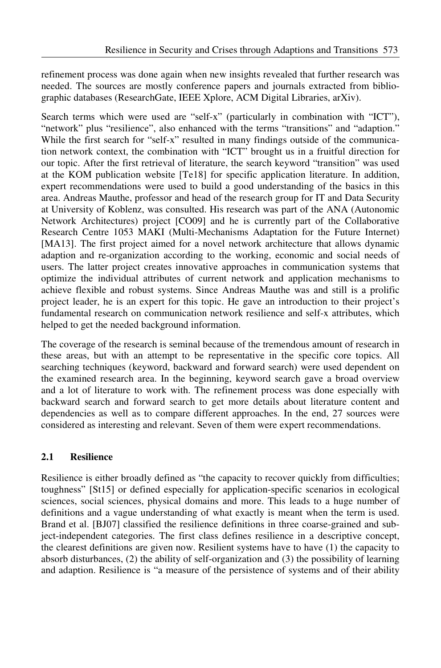refinement process was done again when new insights revealed that further research was needed. The sources are mostly conference papers and journals extracted from bibliographic databases (ResearchGate, IEEE Xplore, ACM Digital Libraries, arXiv).

Search terms which were used are "self-x" (particularly in combination with "ICT"), "network" plus "resilience", also enhanced with the terms "transitions" and "adaption." While the first search for "self-x" resulted in many findings outside of the communication network context, the combination with "ICT" brought us in a fruitful direction for our topic. After the first retrieval of literature, the search keyword "transition" was used at the KOM publication website [Te18] for specific application literature. In addition, expert recommendations were used to build a good understanding of the basics in this area. Andreas Mauthe, professor and head of the research group for IT and Data Security at University of Koblenz, was consulted. His research was part of the ANA (Autonomic Network Architectures) project [CO09] and he is currently part of the Collaborative Research Centre 1053 MAKI (Multi-Mechanisms Adaptation for the Future Internet) [MA13]. The first project aimed for a novel network architecture that allows dynamic adaption and re-organization according to the working, economic and social needs of users. The latter project creates innovative approaches in communication systems that optimize the individual attributes of current network and application mechanisms to achieve flexible and robust systems. Since Andreas Mauthe was and still is a prolific project leader, he is an expert for this topic. He gave an introduction to their project's fundamental research on communication network resilience and self-x attributes, which helped to get the needed background information.

The coverage of the research is seminal because of the tremendous amount of research in these areas, but with an attempt to be representative in the specific core topics. All searching techniques (keyword, backward and forward search) were used dependent on the examined research area. In the beginning, keyword search gave a broad overview and a lot of literature to work with. The refinement process was done especially with backward search and forward search to get more details about literature content and dependencies as well as to compare different approaches. In the end, 27 sources were considered as interesting and relevant. Seven of them were expert recommendations.

### **2.1 Resilience**

Resilience is either broadly defined as "the capacity to recover quickly from difficulties; toughness" [St15] or defined especially for application-specific scenarios in ecological sciences, social sciences, physical domains and more. This leads to a huge number of definitions and a vague understanding of what exactly is meant when the term is used. Brand et al. [BJ07] classified the resilience definitions in three coarse-grained and subject-independent categories. The first class defines resilience in a descriptive concept, the clearest definitions are given now. Resilient systems have to have (1) the capacity to absorb disturbances, (2) the ability of self-organization and (3) the possibility of learning and adaption. Resilience is "a measure of the persistence of systems and of their ability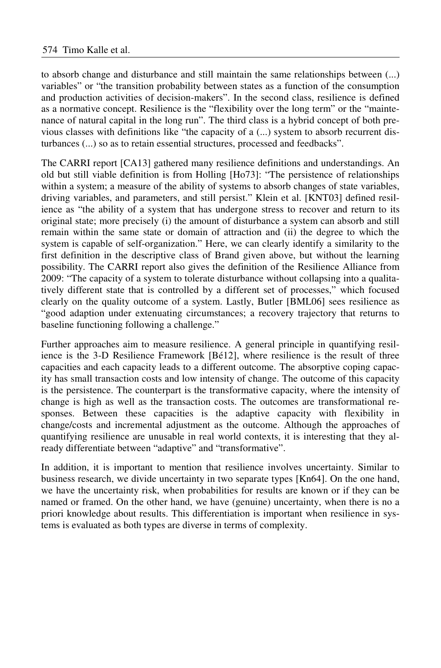to absorb change and disturbance and still maintain the same relationships between (...) variables" or "the transition probability between states as a function of the consumption and production activities of decision-makers". In the second class, resilience is defined as a normative concept. Resilience is the "flexibility over the long term" or the "maintenance of natural capital in the long run". The third class is a hybrid concept of both previous classes with definitions like "the capacity of a (...) system to absorb recurrent disturbances (...) so as to retain essential structures, processed and feedbacks".

The CARRI report [CA13] gathered many resilience definitions and understandings. An old but still viable definition is from Holling [Ho73]: "The persistence of relationships within a system; a measure of the ability of systems to absorb changes of state variables, driving variables, and parameters, and still persist." Klein et al. [KNT03] defined resilience as "the ability of a system that has undergone stress to recover and return to its original state; more precisely (i) the amount of disturbance a system can absorb and still remain within the same state or domain of attraction and (ii) the degree to which the system is capable of self-organization." Here, we can clearly identify a similarity to the first definition in the descriptive class of Brand given above, but without the learning possibility. The CARRI report also gives the definition of the Resilience Alliance from 2009: "The capacity of a system to tolerate disturbance without collapsing into a qualitatively different state that is controlled by a different set of processes," which focused clearly on the quality outcome of a system. Lastly, Butler [BML06] sees resilience as "good adaption under extenuating circumstances; a recovery trajectory that returns to baseline functioning following a challenge."

Further approaches aim to measure resilience. A general principle in quantifying resilience is the 3-D Resilience Framework [Bé12], where resilience is the result of three capacities and each capacity leads to a different outcome. The absorptive coping capacity has small transaction costs and low intensity of change. The outcome of this capacity is the persistence. The counterpart is the transformative capacity, where the intensity of change is high as well as the transaction costs. The outcomes are transformational responses. Between these capacities is the adaptive capacity with flexibility in change/costs and incremental adjustment as the outcome. Although the approaches of quantifying resilience are unusable in real world contexts, it is interesting that they already differentiate between "adaptive" and "transformative".

In addition, it is important to mention that resilience involves uncertainty. Similar to business research, we divide uncertainty in two separate types [Kn64]. On the one hand, we have the uncertainty risk, when probabilities for results are known or if they can be named or framed. On the other hand, we have (genuine) uncertainty, when there is no a priori knowledge about results. This differentiation is important when resilience in systems is evaluated as both types are diverse in terms of complexity.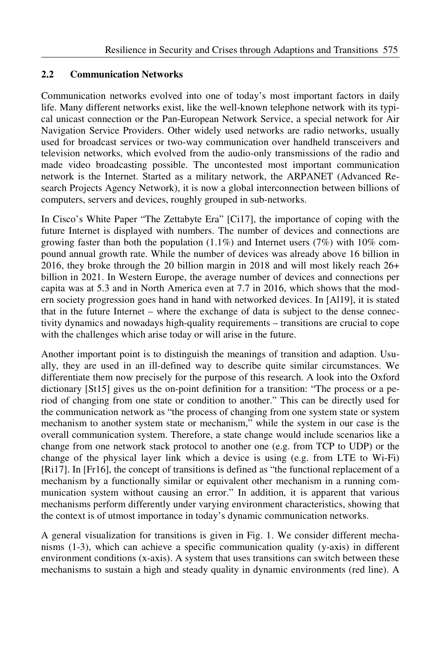### **2.2 Communication Networks**

Communication networks evolved into one of today's most important factors in daily life. Many different networks exist, like the well-known telephone network with its typical unicast connection or the Pan-European Network Service, a special network for Air Navigation Service Providers. Other widely used networks are radio networks, usually used for broadcast services or two-way communication over handheld transceivers and television networks, which evolved from the audio-only transmissions of the radio and made video broadcasting possible. The uncontested most important communication network is the Internet. Started as a military network, the ARPANET (Advanced Research Projects Agency Network), it is now a global interconnection between billions of computers, servers and devices, roughly grouped in sub-networks.

In Cisco's White Paper "The Zettabyte Era" [Ci17], the importance of coping with the future Internet is displayed with numbers. The number of devices and connections are growing faster than both the population  $(1.1\%)$  and Internet users (7%) with 10% compound annual growth rate. While the number of devices was already above 16 billion in 2016, they broke through the 20 billion margin in 2018 and will most likely reach 26+ billion in 2021. In Western Europe, the average number of devices and connections per capita was at 5.3 and in North America even at 7.7 in 2016, which shows that the modern society progression goes hand in hand with networked devices. In [Al19], it is stated that in the future Internet – where the exchange of data is subject to the dense connectivity dynamics and nowadays high-quality requirements – transitions are crucial to cope with the challenges which arise today or will arise in the future.

Another important point is to distinguish the meanings of transition and adaption. Usually, they are used in an ill-defined way to describe quite similar circumstances. We differentiate them now precisely for the purpose of this research. A look into the Oxford dictionary [St15] gives us the on-point definition for a transition: "The process or a period of changing from one state or condition to another." This can be directly used for the communication network as "the process of changing from one system state or system mechanism to another system state or mechanism," while the system in our case is the overall communication system. Therefore, a state change would include scenarios like a change from one network stack protocol to another one (e.g. from TCP to UDP) or the change of the physical layer link which a device is using (e.g. from LTE to Wi-Fi) [Ri17]. In [Fr16], the concept of transitions is defined as "the functional replacement of a mechanism by a functionally similar or equivalent other mechanism in a running communication system without causing an error." In addition, it is apparent that various mechanisms perform differently under varying environment characteristics, showing that the context is of utmost importance in today's dynamic communication networks.

A general visualization for transitions is given in Fig. 1. We consider different mechanisms (1-3), which can achieve a specific communication quality (y-axis) in different environment conditions (x-axis). A system that uses transitions can switch between these mechanisms to sustain a high and steady quality in dynamic environments (red line). A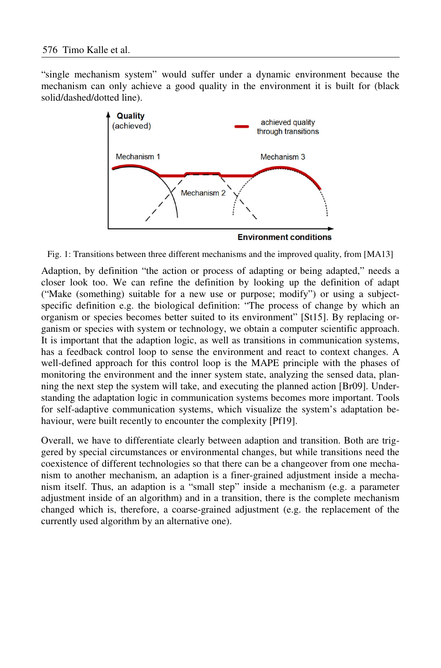"single mechanism system" would suffer under a dynamic environment because the mechanism can only achieve a good quality in the environment it is built for (black solid/dashed/dotted line).



Fig. 1: Transitions between three different mechanisms and the improved quality, from [MA13]

Adaption, by definition "the action or process of adapting or being adapted," needs a closer look too. We can refine the definition by looking up the definition of adapt ("Make (something) suitable for a new use or purpose; modify") or using a subjectspecific definition e.g. the biological definition: "The process of change by which an organism or species becomes better suited to its environment" [St15]. By replacing organism or species with system or technology, we obtain a computer scientific approach. It is important that the adaption logic, as well as transitions in communication systems, has a feedback control loop to sense the environment and react to context changes. A well-defined approach for this control loop is the MAPE principle with the phases of monitoring the environment and the inner system state, analyzing the sensed data, planning the next step the system will take, and executing the planned action [Br09]. Understanding the adaptation logic in communication systems becomes more important. Tools for self-adaptive communication systems, which visualize the system's adaptation behaviour, were built recently to encounter the complexity [Pf19].

Overall, we have to differentiate clearly between adaption and transition. Both are triggered by special circumstances or environmental changes, but while transitions need the coexistence of different technologies so that there can be a changeover from one mechanism to another mechanism, an adaption is a finer-grained adjustment inside a mechanism itself. Thus, an adaption is a "small step" inside a mechanism (e.g. a parameter adjustment inside of an algorithm) and in a transition, there is the complete mechanism changed which is, therefore, a coarse-grained adjustment (e.g. the replacement of the currently used algorithm by an alternative one).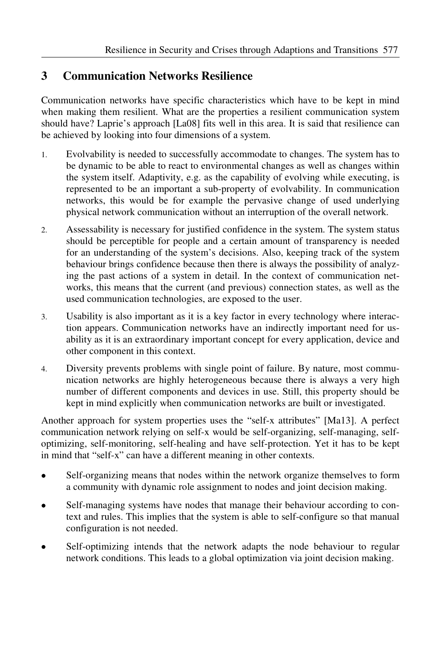## **3 Communication Networks Resilience**

Communication networks have specific characteristics which have to be kept in mind when making them resilient. What are the properties a resilient communication system should have? Laprie's approach [La08] fits well in this area. It is said that resilience can be achieved by looking into four dimensions of a system.

- 1. Evolvability is needed to successfully accommodate to changes. The system has to be dynamic to be able to react to environmental changes as well as changes within the system itself. Adaptivity, e.g. as the capability of evolving while executing, is represented to be an important a sub-property of evolvability. In communication networks, this would be for example the pervasive change of used underlying physical network communication without an interruption of the overall network.
- 2. Assessability is necessary for justified confidence in the system. The system status should be perceptible for people and a certain amount of transparency is needed for an understanding of the system's decisions. Also, keeping track of the system behaviour brings confidence because then there is always the possibility of analyzing the past actions of a system in detail. In the context of communication networks, this means that the current (and previous) connection states, as well as the used communication technologies, are exposed to the user.
- 3. Usability is also important as it is a key factor in every technology where interaction appears. Communication networks have an indirectly important need for usability as it is an extraordinary important concept for every application, device and other component in this context.
- 4. Diversity prevents problems with single point of failure. By nature, most communication networks are highly heterogeneous because there is always a very high number of different components and devices in use. Still, this property should be kept in mind explicitly when communication networks are built or investigated.

Another approach for system properties uses the "self-x attributes" [Ma13]. A perfect communication network relying on self-x would be self-organizing, self-managing, selfoptimizing, self-monitoring, self-healing and have self-protection. Yet it has to be kept in mind that "self-x" can have a different meaning in other contexts.

- Self-organizing means that nodes within the network organize themselves to form a community with dynamic role assignment to nodes and joint decision making.
- Self-managing systems have nodes that manage their behaviour according to context and rules. This implies that the system is able to self-configure so that manual configuration is not needed.
- Self-optimizing intends that the network adapts the node behaviour to regular network conditions. This leads to a global optimization via joint decision making.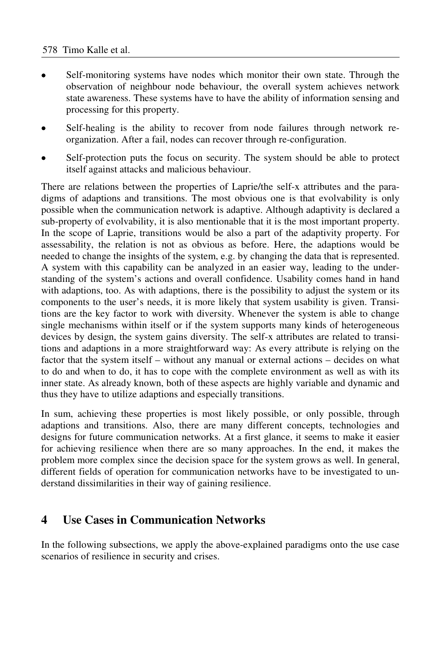- Self-monitoring systems have nodes which monitor their own state. Through the observation of neighbour node behaviour, the overall system achieves network state awareness. These systems have to have the ability of information sensing and processing for this property.
- Self-healing is the ability to recover from node failures through network reorganization. After a fail, nodes can recover through re-configuration.
- Self-protection puts the focus on security. The system should be able to protect itself against attacks and malicious behaviour.

There are relations between the properties of Laprie/the self-x attributes and the paradigms of adaptions and transitions. The most obvious one is that evolvability is only possible when the communication network is adaptive. Although adaptivity is declared a sub-property of evolvability, it is also mentionable that it is the most important property. In the scope of Laprie, transitions would be also a part of the adaptivity property. For assessability, the relation is not as obvious as before. Here, the adaptions would be needed to change the insights of the system, e.g. by changing the data that is represented. A system with this capability can be analyzed in an easier way, leading to the understanding of the system's actions and overall confidence. Usability comes hand in hand with adaptions, too. As with adaptions, there is the possibility to adjust the system or its components to the user's needs, it is more likely that system usability is given. Transitions are the key factor to work with diversity. Whenever the system is able to change single mechanisms within itself or if the system supports many kinds of heterogeneous devices by design, the system gains diversity. The self-x attributes are related to transitions and adaptions in a more straightforward way: As every attribute is relying on the factor that the system itself – without any manual or external actions – decides on what to do and when to do, it has to cope with the complete environment as well as with its inner state. As already known, both of these aspects are highly variable and dynamic and thus they have to utilize adaptions and especially transitions.

In sum, achieving these properties is most likely possible, or only possible, through adaptions and transitions. Also, there are many different concepts, technologies and designs for future communication networks. At a first glance, it seems to make it easier for achieving resilience when there are so many approaches. In the end, it makes the problem more complex since the decision space for the system grows as well. In general, different fields of operation for communication networks have to be investigated to understand dissimilarities in their way of gaining resilience.

### **4 Use Cases in Communication Networks**

In the following subsections, we apply the above-explained paradigms onto the use case scenarios of resilience in security and crises.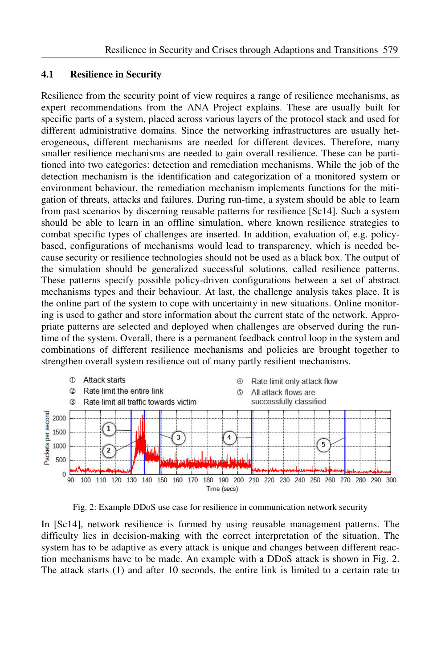#### **4.1 Resilience in Security**

Resilience from the security point of view requires a range of resilience mechanisms, as expert recommendations from the ANA Project explains. These are usually built for specific parts of a system, placed across various layers of the protocol stack and used for different administrative domains. Since the networking infrastructures are usually heterogeneous, different mechanisms are needed for different devices. Therefore, many smaller resilience mechanisms are needed to gain overall resilience. These can be partitioned into two categories: detection and remediation mechanisms. While the job of the detection mechanism is the identification and categorization of a monitored system or environment behaviour, the remediation mechanism implements functions for the mitigation of threats, attacks and failures. During run-time, a system should be able to learn from past scenarios by discerning reusable patterns for resilience [Sc14]. Such a system should be able to learn in an offline simulation, where known resilience strategies to combat specific types of challenges are inserted. In addition, evaluation of, e.g. policybased, configurations of mechanisms would lead to transparency, which is needed because security or resilience technologies should not be used as a black box. The output of the simulation should be generalized successful solutions, called resilience patterns. These patterns specify possible policy-driven configurations between a set of abstract mechanisms types and their behaviour. At last, the challenge analysis takes place. It is the online part of the system to cope with uncertainty in new situations. Online monitoring is used to gather and store information about the current state of the network. Appropriate patterns are selected and deployed when challenges are observed during the runtime of the system. Overall, there is a permanent feedback control loop in the system and combinations of different resilience mechanisms and policies are brought together to strengthen overall system resilience out of many partly resilient mechanisms.



Fig. 2: Example DDoS use case for resilience in communication network security

In [Sc14], network resilience is formed by using reusable management patterns. The difficulty lies in decision-making with the correct interpretation of the situation. The system has to be adaptive as every attack is unique and changes between different reaction mechanisms have to be made. An example with a DDoS attack is shown in Fig. 2. The attack starts (1) and after 10 seconds, the entire link is limited to a certain rate to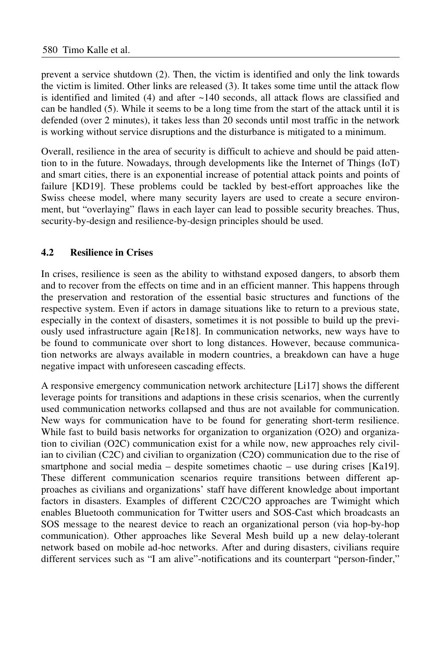prevent a service shutdown (2). Then, the victim is identified and only the link towards the victim is limited. Other links are released (3). It takes some time until the attack flow is identified and limited  $(4)$  and after  $\sim$ 140 seconds, all attack flows are classified and can be handled (5). While it seems to be a long time from the start of the attack until it is defended (over 2 minutes), it takes less than 20 seconds until most traffic in the network is working without service disruptions and the disturbance is mitigated to a minimum.

Overall, resilience in the area of security is difficult to achieve and should be paid attention to in the future. Nowadays, through developments like the Internet of Things (IoT) and smart cities, there is an exponential increase of potential attack points and points of failure [KD19]. These problems could be tackled by best-effort approaches like the Swiss cheese model, where many security layers are used to create a secure environment, but "overlaying" flaws in each layer can lead to possible security breaches. Thus, security-by-design and resilience-by-design principles should be used.

### **4.2 Resilience in Crises**

In crises, resilience is seen as the ability to withstand exposed dangers, to absorb them and to recover from the effects on time and in an efficient manner. This happens through the preservation and restoration of the essential basic structures and functions of the respective system. Even if actors in damage situations like to return to a previous state, especially in the context of disasters, sometimes it is not possible to build up the previously used infrastructure again [Re18]. In communication networks, new ways have to be found to communicate over short to long distances. However, because communication networks are always available in modern countries, a breakdown can have a huge negative impact with unforeseen cascading effects.

A responsive emergency communication network architecture [Li17] shows the different leverage points for transitions and adaptions in these crisis scenarios, when the currently used communication networks collapsed and thus are not available for communication. New ways for communication have to be found for generating short-term resilience. While fast to build basis networks for organization to organization (O2O) and organization to civilian (O2C) communication exist for a while now, new approaches rely civilian to civilian (C2C) and civilian to organization (C2O) communication due to the rise of smartphone and social media – despite sometimes chaotic – use during crises [Ka19]. These different communication scenarios require transitions between different approaches as civilians and organizations' staff have different knowledge about important factors in disasters. Examples of different C2C/C2O approaches are Twimight which enables Bluetooth communication for Twitter users and SOS-Cast which broadcasts an SOS message to the nearest device to reach an organizational person (via hop-by-hop communication). Other approaches like Several Mesh build up a new delay-tolerant network based on mobile ad-hoc networks. After and during disasters, civilians require different services such as "I am alive"-notifications and its counterpart "person-finder,"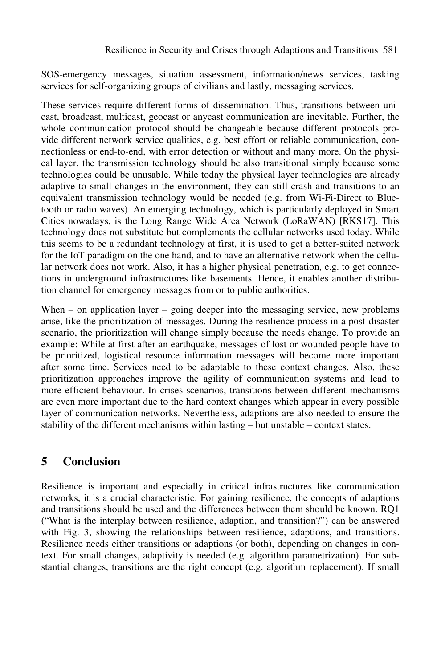SOS-emergency messages, situation assessment, information/news services, tasking services for self-organizing groups of civilians and lastly, messaging services.

These services require different forms of dissemination. Thus, transitions between unicast, broadcast, multicast, geocast or anycast communication are inevitable. Further, the whole communication protocol should be changeable because different protocols provide different network service qualities, e.g. best effort or reliable communication, connectionless or end-to-end, with error detection or without and many more. On the physical layer, the transmission technology should be also transitional simply because some technologies could be unusable. While today the physical layer technologies are already adaptive to small changes in the environment, they can still crash and transitions to an equivalent transmission technology would be needed (e.g. from Wi-Fi-Direct to Bluetooth or radio waves). An emerging technology, which is particularly deployed in Smart Cities nowadays, is the Long Range Wide Area Network (LoRaWAN) [RKS17]. This technology does not substitute but complements the cellular networks used today. While this seems to be a redundant technology at first, it is used to get a better-suited network for the IoT paradigm on the one hand, and to have an alternative network when the cellular network does not work. Also, it has a higher physical penetration, e.g. to get connections in underground infrastructures like basements. Hence, it enables another distribution channel for emergency messages from or to public authorities.

When – on application layer – going deeper into the messaging service, new problems arise, like the prioritization of messages. During the resilience process in a post-disaster scenario, the prioritization will change simply because the needs change. To provide an example: While at first after an earthquake, messages of lost or wounded people have to be prioritized, logistical resource information messages will become more important after some time. Services need to be adaptable to these context changes. Also, these prioritization approaches improve the agility of communication systems and lead to more efficient behaviour. In crises scenarios, transitions between different mechanisms are even more important due to the hard context changes which appear in every possible layer of communication networks. Nevertheless, adaptions are also needed to ensure the stability of the different mechanisms within lasting – but unstable – context states.

# **5 Conclusion**

Resilience is important and especially in critical infrastructures like communication networks, it is a crucial characteristic. For gaining resilience, the concepts of adaptions and transitions should be used and the differences between them should be known. RQ1 ("What is the interplay between resilience, adaption, and transition?") can be answered with Fig. 3, showing the relationships between resilience, adaptions, and transitions. Resilience needs either transitions or adaptions (or both), depending on changes in context. For small changes, adaptivity is needed (e.g. algorithm parametrization). For substantial changes, transitions are the right concept (e.g. algorithm replacement). If small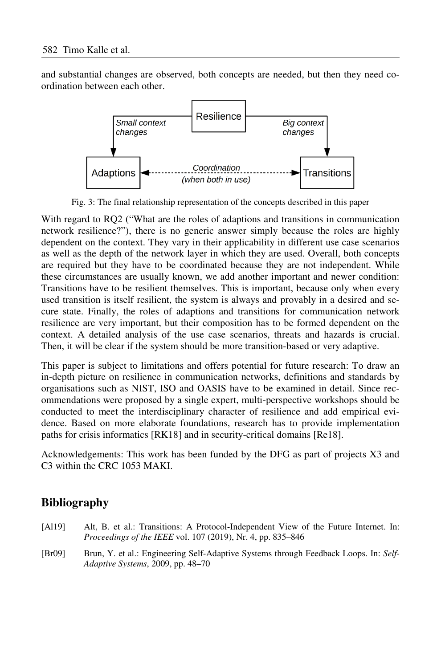and substantial changes are observed, both concepts are needed, but then they need coordination between each other.



Fig. 3: The final relationship representation of the concepts described in this paper

With regard to RQ2 ("What are the roles of adaptions and transitions in communication network resilience?"), there is no generic answer simply because the roles are highly dependent on the context. They vary in their applicability in different use case scenarios as well as the depth of the network layer in which they are used. Overall, both concepts are required but they have to be coordinated because they are not independent. While these circumstances are usually known, we add another important and newer condition: Transitions have to be resilient themselves. This is important, because only when every used transition is itself resilient, the system is always and provably in a desired and secure state. Finally, the roles of adaptions and transitions for communication network resilience are very important, but their composition has to be formed dependent on the context. A detailed analysis of the use case scenarios, threats and hazards is crucial. Then, it will be clear if the system should be more transition-based or very adaptive.

This paper is subject to limitations and offers potential for future research: To draw an in-depth picture on resilience in communication networks, definitions and standards by organisations such as NIST, ISO and OASIS have to be examined in detail. Since recommendations were proposed by a single expert, multi-perspective workshops should be conducted to meet the interdisciplinary character of resilience and add empirical evidence. Based on more elaborate foundations, research has to provide implementation paths for crisis informatics [RK18] and in security-critical domains [Re18].

Acknowledgements: This work has been funded by the DFG as part of projects X3 and C3 within the CRC 1053 MAKI.

# **Bibliography**

- [Al19] Alt, B. et al.: Transitions: A Protocol-Independent View of the Future Internet. In: *Proceedings of the IEEE* vol. 107 (2019), Nr. 4, pp. 835–846
- [Br09] Brun, Y. et al.: Engineering Self-Adaptive Systems through Feedback Loops. In: *Self-Adaptive Systems*, 2009, pp. 48–70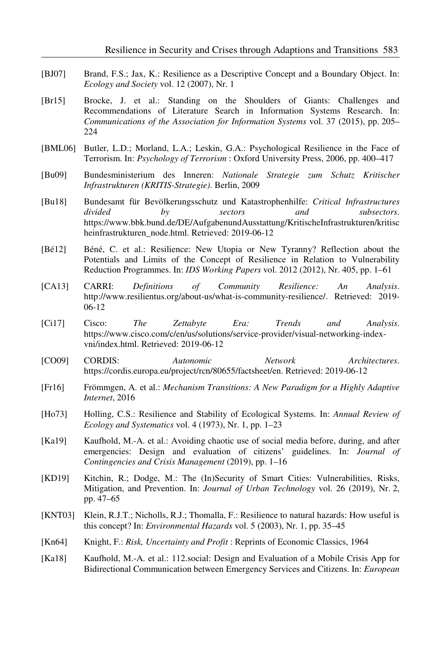- [BJ07] Brand, F.S.; Jax, K.: Resilience as a Descriptive Concept and a Boundary Object. In: *Ecology and Society* vol. 12 (2007), Nr. 1
- [Br15] Brocke, J. et al.: Standing on the Shoulders of Giants: Challenges and Recommendations of Literature Search in Information Systems Research. In: *Communications of the Association for Information Systems* vol. 37 (2015), pp. 205– 224
- [BML06] Butler, L.D.; Morland, L.A.; Leskin, G.A.: Psychological Resilience in the Face of Terrorism. In: *Psychology of Terrorism* : Oxford University Press, 2006, pp. 400–417
- [Bu09] Bundesministerium des Inneren: *Nationale Strategie zum Schutz Kritischer Infrastrukturen (KRITIS-Strategie)*. Berlin, 2009
- [Bu18] Bundesamt für Bevölkerungsschutz und Katastrophenhilfe: *Critical Infrastructures divided by sectors and subsectors*. https://www.bbk.bund.de/DE/AufgabenundAusstattung/KritischeInfrastrukturen/kritisc heinfrastrukturen\_node.html. Retrieved: 2019-06-12
- [Bé12] Béné, C. et al.: Resilience: New Utopia or New Tyranny? Reflection about the Potentials and Limits of the Concept of Resilience in Relation to Vulnerability Reduction Programmes. In: *IDS Working Papers* vol. 2012 (2012), Nr. 405, pp. 1–61
- [CA13] CARRI: *Definitions of Community Resilience: An Analysis*. http://www.resilientus.org/about-us/what-is-community-resilience/. Retrieved: 2019- 06-12
- [Ci17] Cisco: *The Zettabyte Era: Trends and Analysis*. https://www.cisco.com/c/en/us/solutions/service-provider/visual-networking-indexvni/index.html. Retrieved: 2019-06-12
- [CO09] CORDIS: *Autonomic Network Architectures*. https://cordis.europa.eu/project/rcn/80655/factsheet/en. Retrieved: 2019-06-12
- [Fr16] Frömmgen, A. et al.: *Mechanism Transitions: A New Paradigm for a Highly Adaptive Internet*, 2016
- [Ho73] Holling, C.S.: Resilience and Stability of Ecological Systems. In: *Annual Review of Ecology and Systematics* vol. 4 (1973), Nr. 1, pp. 1–23
- [Ka19] Kaufhold, M.-A. et al.: Avoiding chaotic use of social media before, during, and after emergencies: Design and evaluation of citizens' guidelines. In: *Journal of Contingencies and Crisis Management* (2019), pp. 1–16
- [KD19] Kitchin, R.; Dodge, M.: The (In)Security of Smart Cities: Vulnerabilities, Risks, Mitigation, and Prevention. In: *Journal of Urban Technology* vol. 26 (2019), Nr. 2, pp. 47–65
- [KNT03] Klein, R.J.T.; Nicholls, R.J.; Thomalla, F.: Resilience to natural hazards: How useful is this concept? In: *Environmental Hazards* vol. 5 (2003), Nr. 1, pp. 35–45
- [Kn64] Knight, F.: *Risk, Uncertainty and Profit* : Reprints of Economic Classics, 1964
- [Ka18] Kaufhold, M.-A. et al.: 112.social: Design and Evaluation of a Mobile Crisis App for Bidirectional Communication between Emergency Services and Citizens. In: *European*